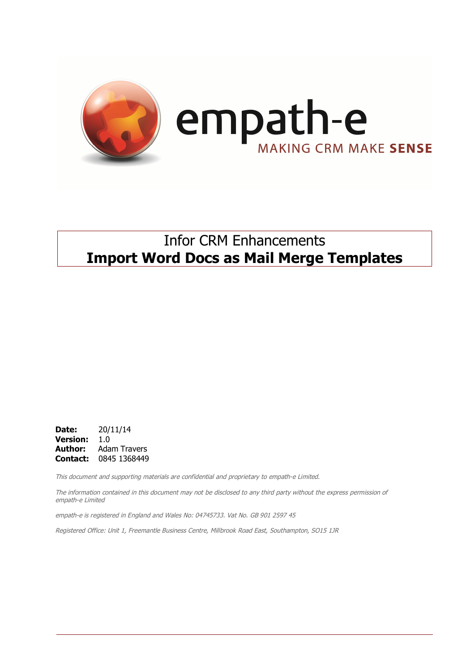

## Infor CRM Enhancements **Import Word Docs as Mail Merge Templates**

**Date:** 20/11/14 **Version:** 1.0 **Author:** Adam Travers **Contact:** 0845 1368449

This document and supporting materials are confidential and proprietary to empath-e Limited.

The information contained in this document may not be disclosed to any third party without the express permission of empath-e Limited

empath-e is registered in England and Wales No: 04745733. Vat No. GB 901 2597 45

Registered Office: Unit 1, Freemantle Business Centre, Millbrook Road East, Southampton, SO15 1JR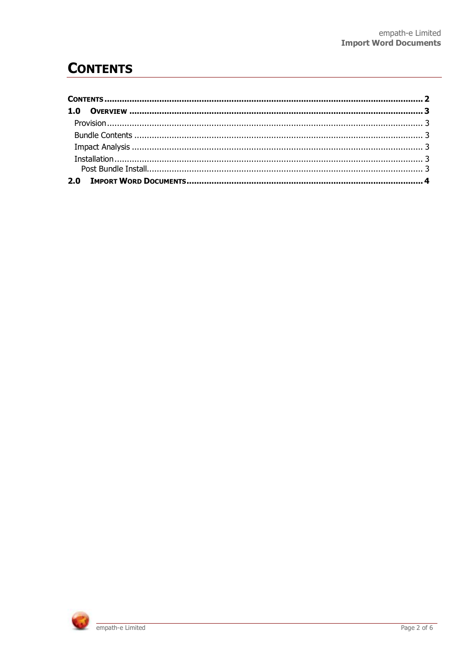# **CONTENTS**

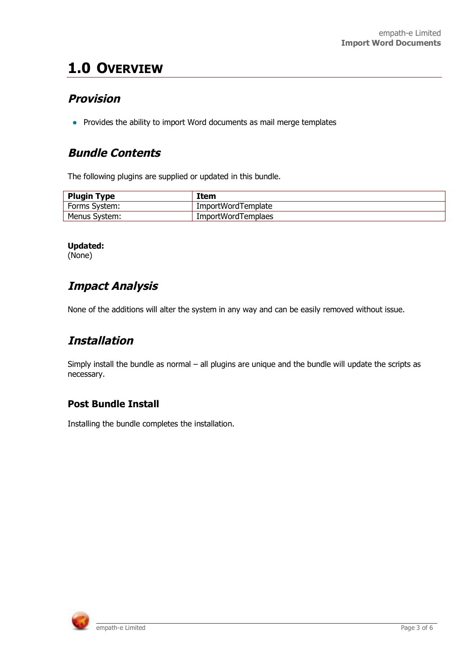# **1.0 OVERVIEW**

### **Provision**

• Provides the ability to import Word documents as mail merge templates

### **Bundle Contents**

The following plugins are supplied or updated in this bundle.

| <b>Plugin Type</b> | Item               |
|--------------------|--------------------|
| Forms System:      | ImportWordTemplate |
| Menus System:      | ImportWordTemplaes |

#### **Updated:**

(None)

### **Impact Analysis**

None of the additions will alter the system in any way and can be easily removed without issue.

## **Installation**

Simply install the bundle as normal – all plugins are unique and the bundle will update the scripts as necessary.

### **Post Bundle Install**

Installing the bundle completes the installation.

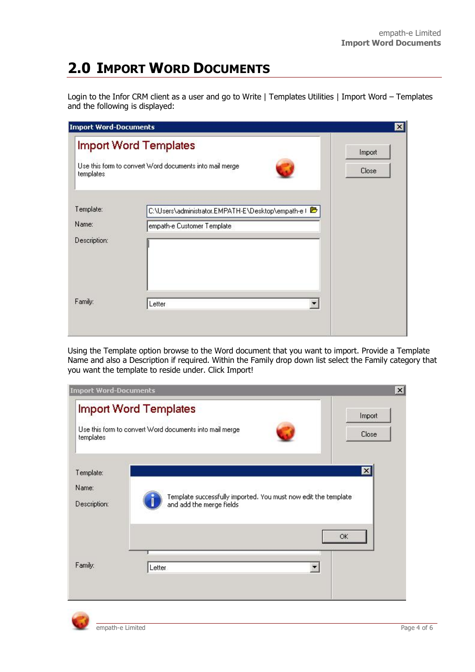# **2.0 IMPORT WORD DOCUMENTS**

Login to the Infor CRM client as a user and go to Write | Templates Utilities | Import Word – Templates and the following is displayed:

| <b>Import Word-Documents</b> |                                                                                  | ×      |
|------------------------------|----------------------------------------------------------------------------------|--------|
|                              | <b>Import Word Templates</b>                                                     | Import |
| templates                    | Use this form to convert Word documents into mail merge                          | Close  |
| Template:<br>Name:           | C:\Users\administrator.EMPATH-E\Desktop\empath-e I<br>empath-e Customer Template |        |
| Description:                 |                                                                                  |        |
| Family:                      | Letter                                                                           | ▼      |

Using the Template option browse to the Word document that you want to import. Provide a Template Name and also a Description if required. Within the Family drop down list select the Family category that you want the template to reside under. Click Import!

| <b>Import Word-Documents</b>       |                                                                                            | $\times$        |
|------------------------------------|--------------------------------------------------------------------------------------------|-----------------|
| templates                          | <b>Import Word Templates</b><br>Use this form to convert Word documents into mail merge    | Import<br>Close |
| Template:<br>Name:<br>Description: | Template successfully imported. You must now edit the template<br>and add the merge fields | X               |
| Family:                            | Letter                                                                                     | OK              |

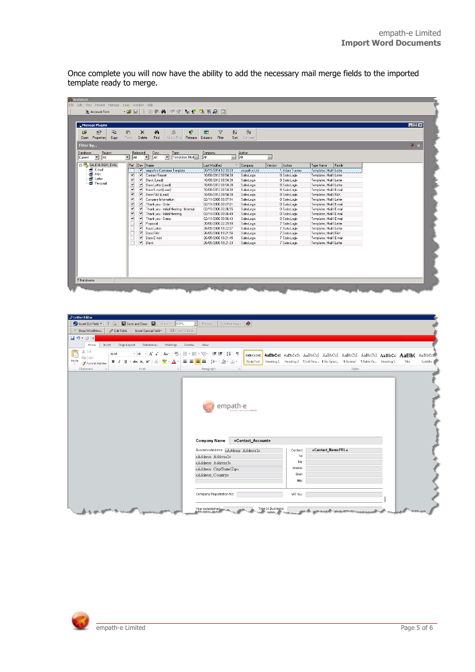Once complete you will now have the ability to add the necessary mail merge fields to the imported template ready to merge.

| Manage Plugins<br>œ<br><b>P</b> B<br>图<br>Properties<br>Copy<br>Open | S.<br>$\vec{r}$<br>Ġ.<br>$\times$<br>ê4.<br>Paste<br>Delete<br>Find<br>Add to Proj<br>Release                       | 外<br>団<br>$\triangledown$<br>Columns<br>Filter<br>Sort | 局<br>Compare     |                          |                          | <b>HOX</b> |
|----------------------------------------------------------------------|---------------------------------------------------------------------------------------------------------------------|--------------------------------------------------------|------------------|--------------------------|--------------------------|------------|
| Filter by                                                            |                                                                                                                     |                                                        |                  |                          |                          | $X$ $X$    |
| Project<br>Database:<br>AI<br>$\vert \cdot \vert$<br>Current         | Released:<br>Type:<br>Dev:<br>All<br>न<br>$\overline{\phantom{a}}$<br>All<br>$\vert \cdot \vert$<br>Templates, Mail | Company:<br>$\mathbf{r}_{\mathrm{max}}$<br>JAI         | Author:<br>All   | $\overline{\phantom{a}}$ |                          |            |
| $\Box$ $\Box$ saleslogix eval                                        | Rel Dev Name                                                                                                        | Last Modified                                          | $\nabla$ Company | Version<br>Author        | Family<br>Type Name      |            |
| E-mail                                                               | <b>V</b> empath-e Customer Template                                                                                 | 20/11/2014 12:33:23                                    | empath-e Ltd.    | 1 Adam Travers           | Templates, Mail Letter   |            |
| ·■ FAX                                                               | ▿<br>▿<br>Contact Report                                                                                            | 10/08/2012 08:54:38                                    | SalesLogix       | 8 SalesLogix             | Templates, Mail I Letter |            |
| - Letter                                                             | $\overline{\mathbf{v}}$<br>▽<br>Blank [Lead]                                                                        | 10/08/2012 08:54:38                                    | SalesLogix       | 8 SalesLogix             | Templates, Mail I Letter |            |
| <b>图 Personal</b>                                                    | ⊽<br>⊽<br>Base Letter (Lead)                                                                                        | 10/08/2012 08:54:38                                    | SalesLogix       | 8 SalesLogix             | Templates, Mail I Letter |            |
|                                                                      | ⊽<br>$\overline{\mathbf{v}}$<br>Base E-mail (Lead)                                                                  | 10/08/2012 08:54:38                                    | SalesLogix       | 8 SalesLogix             | Templates, Mail I E-mail |            |
|                                                                      | ⊽<br>$\overline{\mathbf{v}}$<br>Base FAX (Lead)                                                                     | 10/08/2012 08:54:38                                    | SalesLogix       | 8 SalesLogix             | Templates, Mail I FAX    |            |
|                                                                      | ⊽<br>▿<br>Company Information                                                                                       | 02/11/2006 00:07:14                                    | SalesLogix       | 0 SalesLogix             | Templates, Mail Letter   |            |
|                                                                      | $\overline{\mathbf{v}}$<br>$\overline{\mathbf{v}}$<br>Thank you - Order                                             | 02/11/2006 00:07:01                                    | SalesLogis       | 0 SalesLogis             | Templates, Mail   E-mail |            |
|                                                                      | ▿<br>$\overline{\mathbf{v}}$<br>Thank you - Initial Meeting - Informal                                              | 02/11/2006 00:06:55                                    | SalesLogix       | 0 SalesLogis             | Templates, Mail I E-mail |            |
|                                                                      | ⊻<br>$\overline{\mathbf{v}}$<br>Thank you - Initial Meeting                                                         | 02/11/2006 00:06:49                                    | SalesLogix       | 0 SalesLogix             | Templates, Mail   E-mail |            |
|                                                                      | $\overline{\mathbf{v}}$<br>$\overline{\mathbf{v}}$<br>Thank you - Demo                                              | 02/11/2006 00:06:43                                    | SalesLogix       | 0 SalesLogix             | Templates, Mail I E-mail |            |
|                                                                      | $\overline{\mathbf{v}}$<br>Proposal<br>п                                                                            | 30/06/2006 22:29:18                                    | SalesLogix       | 7 SalesLogix             | Templates, Mail I Letter |            |
|                                                                      | $\overline{\mathbf{v}}$<br>П<br><b>Base Letter</b>                                                                  | 26/05/2006 19:22:07                                    | SalesLogix       | 7 SalesLogix             | Templates, Mail I Letter |            |
|                                                                      | $\overline{\mathbf{v}}$<br>Base FAX<br>□                                                                            | 26/05/2006 19:21:56                                    | SalesLogix       | 7 SalesLogix             | Templates, Mail I FAX    |            |
|                                                                      | ⊽<br>П<br>Base E-mail                                                                                               | 26/05/2006 19:21:45                                    | SalesLogix       | 7 SalesLogix             | Templates, Mail I E-mail |            |
|                                                                      | $\overline{\mathbf{v}}$<br>Blank<br>□                                                                               | 26/05/2006 19:21:33                                    | SalesLogix       | 7 SalesLogix             | Templates, Mail Letter   |            |
|                                                                      |                                                                                                                     |                                                        |                  |                          |                          |            |

| J Letter Editor<br>Show - HTML Show - HTML<br>Insert SLX Field<br>Us<br>▽ Show Word Menu<br>Edit Fields<br>Insert Special Field -<br>E-mail Options                | SLX Mail Merge<br>Preview                                 |                   |          |                                                                                        |        |  |       |          |
|--------------------------------------------------------------------------------------------------------------------------------------------------------------------|-----------------------------------------------------------|-------------------|----------|----------------------------------------------------------------------------------------|--------|--|-------|----------|
| 日のじい                                                                                                                                                               |                                                           |                   |          |                                                                                        |        |  |       |          |
| Page Layout<br>References<br>Home<br>Insert<br>Mailings                                                                                                            | Review<br>View.                                           |                   |          |                                                                                        |        |  |       |          |
| <b>College</b><br>% Cut<br>$+14$ $+$ $A^{\star}$ $A^{\star}$ $Aa^{\star}$ $\rightarrow$<br>Arial<br><b>Th</b> Copy                                                 | 旧・旧・紀・ 健 健   斜   ¶                                        |                   |          | AaBbCcDdE AaBbCcl AaBbCcD: AaBbCcI AaBbCcI AaBbCcI AaBbCcI AaBbCc AaBbC AaBbCcF        |        |  |       |          |
| <b>B</b> $I$ <b>U</b> $\cdot$ ale $x$ , $x^2$ $\cdot \cdot \cdot$ $\cdot \cdot \cdot$ $\cdot \cdot$ $\cdot \cdot$ $\cdot \cdot$ $\cdot$<br>Paste<br>Format Painter | ■■■■は・③・圖・                                                |                   |          | Body Text Heading 1 Heading 2   TList Para   TNo Spaci   TNormal   TTable Pa Heading 3 |        |  | Title | Subtitle |
| Clipboard<br>G.<br>Font<br>$\sqrt{2}$                                                                                                                              | Paragraph<br>$\sqrt{2}$                                   |                   |          |                                                                                        | Styles |  |       |          |
|                                                                                                                                                                    | Company Name                                              | «Contact_Account» |          |                                                                                        |        |  |       |          |
|                                                                                                                                                                    | BusinessAddress: «Address Address1»<br>«Address Address2» |                   | Contact: | «Contact NamePFL»<br>Tel:                                                              |        |  |       |          |
|                                                                                                                                                                    | «Address Address3»                                        |                   |          | Fax:                                                                                   |        |  |       |          |
|                                                                                                                                                                    | «Address City/State/Zip»                                  |                   | Mobile:  |                                                                                        |        |  |       |          |
|                                                                                                                                                                    | «Address_Country»                                         |                   | Email:   |                                                                                        |        |  |       |          |
|                                                                                                                                                                    |                                                           |                   | Web:     |                                                                                        |        |  |       |          |
|                                                                                                                                                                    | Company Registration No:                                  |                   | VAT No:  |                                                                                        |        |  |       |          |
| and state the means of the square and the state                                                                                                                    | Year established                                          | Type of Business: |          | <u>and marked the marked the marke</u>                                                 |        |  |       |          |